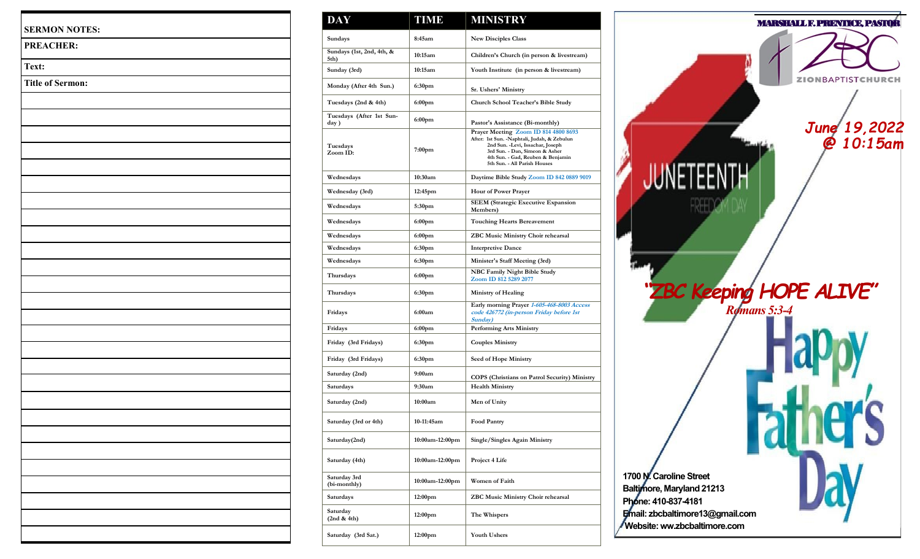| <b>SERMON NOTES:</b>    |  |
|-------------------------|--|
| PREACHER:               |  |
| Text:                   |  |
| <b>Title of Sermon:</b> |  |
|                         |  |
|                         |  |
|                         |  |
|                         |  |
|                         |  |
|                         |  |
|                         |  |
|                         |  |
|                         |  |
|                         |  |
|                         |  |
|                         |  |
|                         |  |
|                         |  |
|                         |  |
|                         |  |
|                         |  |
|                         |  |
|                         |  |
|                         |  |
|                         |  |
|                         |  |
|                         |  |
|                         |  |
|                         |  |
|                         |  |
|                         |  |

| <b>DAY</b>                        | <b>TIME</b>         | <b>MINISTRY</b>                                                                                                                                                                                                                  |
|-----------------------------------|---------------------|----------------------------------------------------------------------------------------------------------------------------------------------------------------------------------------------------------------------------------|
| Sundays                           | 8:45am              | <b>New Disciples Class</b>                                                                                                                                                                                                       |
| Sundays (1st, 2nd, 4th, &<br>5th) | 10:15am             | Children's Church (in person & livestream)                                                                                                                                                                                       |
| Sunday (3rd)                      | 10:15am             | Youth Institute (in person & livestream)                                                                                                                                                                                         |
| Monday (After 4th Sun.)           | 6:30pm              | Sr. Ushers' Ministry                                                                                                                                                                                                             |
| Tuesdays (2nd & 4th)              | 6:00pm              | Church School Teacher's Bible Study                                                                                                                                                                                              |
| Tuesdays (After 1st Sun-<br>day)  | 6:00pm              | Pastor's Assistance (Bi-monthly)                                                                                                                                                                                                 |
| Tuesdays<br>Zoom ID:              | 7:00pm              | Prayer Meeting Zoom ID 814 4800 8693<br>After: 1st Sun. - Naphtali, Judah, & Zebulun<br>2nd Sun. - Levi, Issachar, Joseph<br>3rd Sun. - Dan, Simeon & Asher<br>4th Sun. - Gad, Reuben & Benjamin<br>5th Sun. - All Parish Houses |
| Wednesdays                        | 10:30am             | Daytime Bible Study Zoom ID 842 0889 9019                                                                                                                                                                                        |
| Wednesday (3rd)                   | 12:45pm             | <b>Hour of Power Prayer</b>                                                                                                                                                                                                      |
| Wednesdays                        | 5:30pm              | <b>SEEM</b> (Strategic Executive Expansion<br>Members)                                                                                                                                                                           |
| Wednesdays                        | 6:00pm              | Touching Hearts Bereavement                                                                                                                                                                                                      |
| Wednesdays                        | 6:00 <sub>pm</sub>  | ZBC Music Ministry Choir rehearsal                                                                                                                                                                                               |
| Wednesdays                        | 6:30pm              | <b>Interpretive Dance</b>                                                                                                                                                                                                        |
| Wednesdays                        | 6:30pm              | Minister's Staff Meeting (3rd)                                                                                                                                                                                                   |
| Thursdays                         | 6:00pm              | NBC Family Night Bible Study<br>Zoom ID 812 5289 2077                                                                                                                                                                            |
| Thursdays                         | 6:30pm              | Ministry of Healing                                                                                                                                                                                                              |
| Fridays                           | 6:00am              | Early morning Prayer 1-605-468-8003 Access<br>code 426772 (in-person Friday before 1st<br>Sunday)                                                                                                                                |
| Fridays                           | 6:00pm              | <b>Performing Arts Ministry</b>                                                                                                                                                                                                  |
| Friday (3rd Fridays)              | 6:30pm              | <b>Couples Ministry</b>                                                                                                                                                                                                          |
| Friday (3rd Fridays)              | 6:30pm              | <b>Seed of Hope Ministry</b>                                                                                                                                                                                                     |
| Saturday (2nd)                    | 9:00am              | COPS (Christians on Patrol Security) Ministry                                                                                                                                                                                    |
| Saturdays                         | 9:30am              | <b>Health Ministry</b>                                                                                                                                                                                                           |
| Saturday (2nd)                    | 10:00am             | Men of Unity                                                                                                                                                                                                                     |
| Saturday (3rd or 4th)             | 10-11:45am          | <b>Food Pantry</b>                                                                                                                                                                                                               |
| Saturday(2nd)                     | 10:00am-12:00pm     | Single/Singles Again Ministry                                                                                                                                                                                                    |
| Saturday (4th)                    | 10:00am-12:00pm     | Project 4 Life                                                                                                                                                                                                                   |
| Saturday 3rd<br>(bi-monthly)      | 10:00am-12:00pm     | <b>Women of Faith</b>                                                                                                                                                                                                            |
| Saturdays                         | 12:00 <sub>pm</sub> | ZBC Music Ministry Choir rehearsal                                                                                                                                                                                               |
| Saturday<br>(2nd & 4th)           | 12:00 <sub>pm</sub> | The Whispers                                                                                                                                                                                                                     |
| Saturday (3rd Sat.)               | 12:00 <sub>pm</sub> | <b>Youth Ushers</b>                                                                                                                                                                                                              |